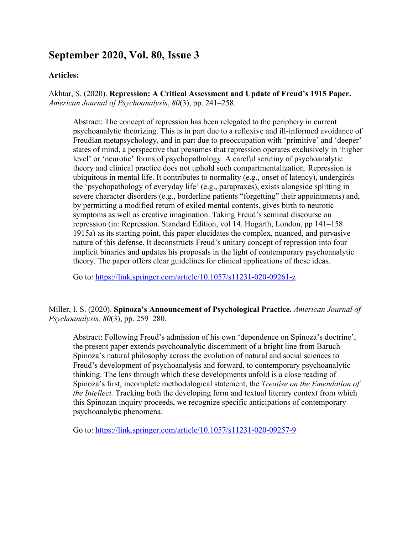# **September 2020, Vol. 80, Issue 3**

#### **Articles:**

Akhtar, S. (2020). **Repression: A Critical Assessment and Update of Freud's 1915 Paper.** *American Journal of Psychoanalysis*, *80*(3), pp. 241–258.

Abstract: The concept of repression has been relegated to the periphery in current psychoanalytic theorizing. This is in part due to a reflexive and ill-informed avoidance of Freudian metapsychology, and in part due to preoccupation with 'primitive' and 'deeper' states of mind, a perspective that presumes that repression operates exclusively in 'higher level' or 'neurotic' forms of psychopathology. A careful scrutiny of psychoanalytic theory and clinical practice does not uphold such compartmentalization. Repression is ubiquitous in mental life. It contributes to normality (e.g., onset of latency), undergirds the 'psychopathology of everyday life' (e.g., parapraxes), exists alongside splitting in severe character disorders (e.g., borderline patients "forgetting" their appointments) and, by permitting a modified return of exiled mental contents, gives birth to neurotic symptoms as well as creative imagination. Taking Freud's seminal discourse on repression (in: Repression. Standard Edition, vol 14. Hogarth, London, pp 141–158 1915a) as its starting point, this paper elucidates the complex, nuanced, and pervasive nature of this defense. It deconstructs Freud's unitary concept of repression into four implicit binaries and updates his proposals in the light of contemporary psychoanalytic theory. The paper offers clear guidelines for clinical applications of these ideas.

Go to: https://link.springer.com/article/10.1057/s11231-020-09261-z

Miller, I. S. (2020). **Spinoza's Announcement of Psychological Practice.** *American Journal of Psychoanalysis, 80*(3), pp. 259–280.

Abstract: Following Freud's admission of his own 'dependence on Spinoza's doctrine', the present paper extends psychoanalytic discernment of a bright line from Baruch Spinoza's natural philosophy across the evolution of natural and social sciences to Freud's development of psychoanalysis and forward, to contemporary psychoanalytic thinking. The lens through which these developments unfold is a close reading of Spinoza's first, incomplete methodological statement, the *Treatise on the Emendation of the Intellect.* Tracking both the developing form and textual literary context from which this Spinozan inquiry proceeds, we recognize specific anticipations of contemporary psychoanalytic phenomena.

Go to: https://link.springer.com/article/10.1057/s11231-020-09257-9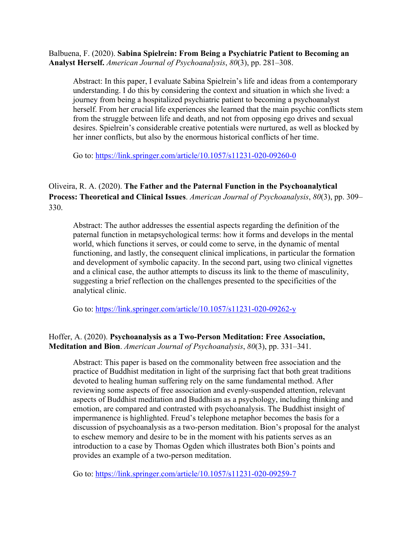Balbuena, F. (2020). **Sabina Spielrein: From Being a Psychiatric Patient to Becoming an Analyst Herself.** *American Journal of Psychoanalysis*, *80*(3), pp. 281–308.

Abstract: In this paper, I evaluate Sabina Spielrein's life and ideas from a contemporary understanding. I do this by considering the context and situation in which she lived: a journey from being a hospitalized psychiatric patient to becoming a psychoanalyst herself. From her crucial life experiences she learned that the main psychic conflicts stem from the struggle between life and death, and not from opposing ego drives and sexual desires. Spielrein's considerable creative potentials were nurtured, as well as blocked by her inner conflicts, but also by the enormous historical conflicts of her time.

Go to: https://link.springer.com/article/10.1057/s11231-020-09260-0

# Oliveira, R. A. (2020). **The Father and the Paternal Function in the Psychoanalytical Process: Theoretical and Clinical Issues**. *American Journal of Psychoanalysis*, *80*(3), pp. 309– 330.

Abstract: The author addresses the essential aspects regarding the definition of the paternal function in metapsychological terms: how it forms and develops in the mental world, which functions it serves, or could come to serve, in the dynamic of mental functioning, and lastly, the consequent clinical implications, in particular the formation and development of symbolic capacity. In the second part, using two clinical vignettes and a clinical case, the author attempts to discuss its link to the theme of masculinity, suggesting a brief reflection on the challenges presented to the specificities of the analytical clinic.

Go to: https://link.springer.com/article/10.1057/s11231-020-09262-y

## Hoffer, A. (2020). **Psychoanalysis as a Two-Person Meditation: Free Association, Meditation and Bion**. *American Journal of Psychoanalysis*, *80*(3), pp. 331–341.

Abstract: This paper is based on the commonality between free association and the practice of Buddhist meditation in light of the surprising fact that both great traditions devoted to healing human suffering rely on the same fundamental method. After reviewing some aspects of free association and evenly-suspended attention, relevant aspects of Buddhist meditation and Buddhism as a psychology, including thinking and emotion, are compared and contrasted with psychoanalysis. The Buddhist insight of impermanence is highlighted. Freud's telephone metaphor becomes the basis for a discussion of psychoanalysis as a two-person meditation. Bion's proposal for the analyst to eschew memory and desire to be in the moment with his patients serves as an introduction to a case by Thomas Ogden which illustrates both Bion's points and provides an example of a two-person meditation.

Go to: https://link.springer.com/article/10.1057/s11231-020-09259-7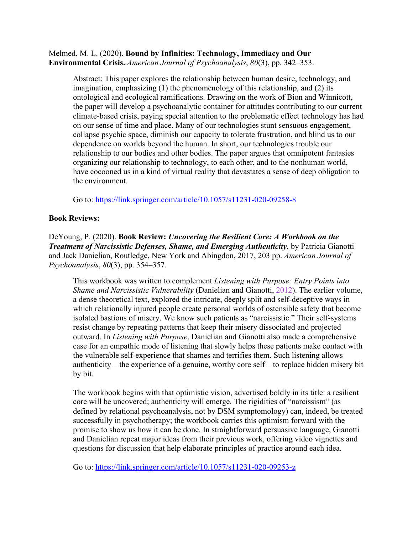Melmed, M. L. (2020). **Bound by Infinities: Technology, Immediacy and Our Environmental Crisis.** *American Journal of Psychoanalysis*, *80*(3), pp. 342–353.

Abstract: This paper explores the relationship between human desire, technology, and imagination, emphasizing (1) the phenomenology of this relationship, and (2) its ontological and ecological ramifications. Drawing on the work of Bion and Winnicott, the paper will develop a psychoanalytic container for attitudes contributing to our current climate-based crisis, paying special attention to the problematic effect technology has had on our sense of time and place. Many of our technologies stunt sensuous engagement, collapse psychic space, diminish our capacity to tolerate frustration, and blind us to our dependence on worlds beyond the human. In short, our technologies trouble our relationship to our bodies and other bodies. The paper argues that omnipotent fantasies organizing our relationship to technology, to each other, and to the nonhuman world, have cocooned us in a kind of virtual reality that devastates a sense of deep obligation to the environment.

Go to: https://link.springer.com/article/10.1057/s11231-020-09258-8

### **Book Reviews:**

DeYoung, P. (2020). **Book Review:** *Uncovering the Resilient Core: A Workbook on the Treatment of Narcissistic Defenses, Shame, and Emerging Authenticity*, by Patricia Gianotti and Jack Danielian, Routledge, New York and Abingdon, 2017, 203 pp. *American Journal of Psychoanalysis*, *80*(3), pp. 354–357.

This workbook was written to complement *Listening with Purpose: Entry Points into Shame and Narcissistic Vulnerability* (Danielian and Gianotti, 2012). The earlier volume, a dense theoretical text, explored the intricate, deeply split and self-deceptive ways in which relationally injured people create personal worlds of ostensible safety that become isolated bastions of misery. We know such patients as "narcissistic." Their self-systems resist change by repeating patterns that keep their misery dissociated and projected outward. In *Listening with Purpose*, Danielian and Gianotti also made a comprehensive case for an empathic mode of listening that slowly helps these patients make contact with the vulnerable self-experience that shames and terrifies them. Such listening allows authenticity – the experience of a genuine, worthy core self – to replace hidden misery bit by bit.

The workbook begins with that optimistic vision, advertised boldly in its title: a resilient core will be uncovered; authenticity will emerge. The rigidities of "narcissism" (as defined by relational psychoanalysis, not by DSM symptomology) can, indeed, be treated successfully in psychotherapy; the workbook carries this optimism forward with the promise to show us how it can be done. In straightforward persuasive language, Gianotti and Danielian repeat major ideas from their previous work, offering video vignettes and questions for discussion that help elaborate principles of practice around each idea.

Go to: https://link.springer.com/article/10.1057/s11231-020-09253-z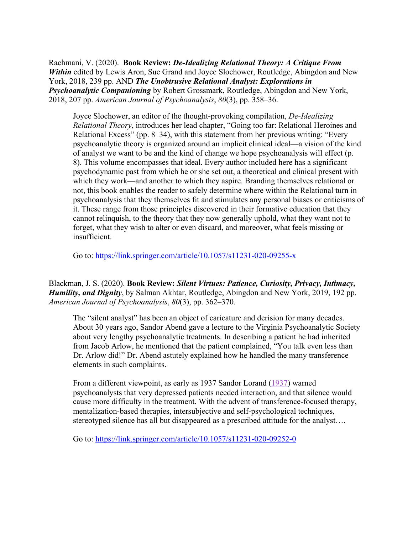Rachmani, V. (2020). **Book Review:** *De-Idealizing Relational Theory: A Critique From Within* edited by Lewis Aron, Sue Grand and Joyce Slochower, Routledge, Abingdon and New York, 2018, 239 pp. AND *The Unobtrusive Relational Analyst: Explorations in Psychoanalytic Companioning* by Robert Grossmark, Routledge, Abingdon and New York, 2018, 207 pp. *American Journal of Psychoanalysis*, *80*(3), pp. 358–36.

Joyce Slochower, an editor of the thought-provoking compilation, *De-Idealizing Relational Theory*, introduces her lead chapter, "Going too far: Relational Heroines and Relational Excess" (pp. 8–34), with this statement from her previous writing: "Every psychoanalytic theory is organized around an implicit clinical ideal—a vision of the kind of analyst we want to be and the kind of change we hope psychoanalysis will effect (p. 8). This volume encompasses that ideal. Every author included here has a significant psychodynamic past from which he or she set out, a theoretical and clinical present with which they work—and another to which they aspire. Branding themselves relational or not, this book enables the reader to safely determine where within the Relational turn in psychoanalysis that they themselves fit and stimulates any personal biases or criticisms of it. These range from those principles discovered in their formative education that they cannot relinquish, to the theory that they now generally uphold, what they want not to forget, what they wish to alter or even discard, and moreover, what feels missing or insufficient.

Go to: https://link.springer.com/article/10.1057/s11231-020-09255-x

Blackman, J. S. (2020). **Book Review:** *Silent Virtues: Patience, Curiosity, Privacy, Intimacy, Humility, and Dignity*, by Salman Akhtar, Routledge, Abingdon and New York, 2019, 192 pp. *American Journal of Psychoanalysis*, *80*(3), pp. 362–370.

The "silent analyst" has been an object of caricature and derision for many decades. About 30 years ago, Sandor Abend gave a lecture to the Virginia Psychoanalytic Society about very lengthy psychoanalytic treatments. In describing a patient he had inherited from Jacob Arlow, he mentioned that the patient complained, "You talk even less than Dr. Arlow did!" Dr. Abend astutely explained how he handled the many transference elements in such complaints.

From a different viewpoint, as early as 1937 Sandor Lorand (1937) warned psychoanalysts that very depressed patients needed interaction, and that silence would cause more difficulty in the treatment. With the advent of transference-focused therapy, mentalization-based therapies, intersubjective and self-psychological techniques, stereotyped silence has all but disappeared as a prescribed attitude for the analyst….

Go to: https://link.springer.com/article/10.1057/s11231-020-09252-0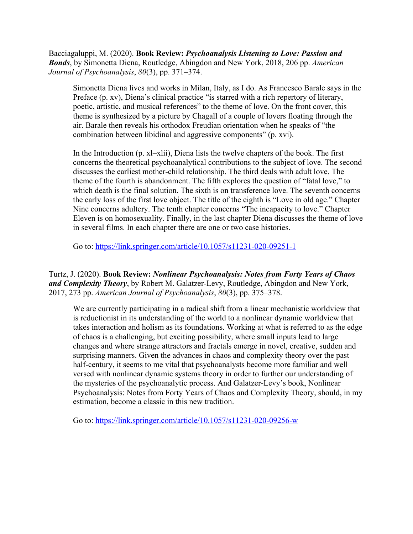Bacciagaluppi, M. (2020). **Book Review:** *Psychoanalysis Listening to Love: Passion and Bonds*, by Simonetta Diena, Routledge, Abingdon and New York, 2018, 206 pp. *American Journal of Psychoanalysis*, *80*(3), pp. 371–374.

Simonetta Diena lives and works in Milan, Italy, as I do. As Francesco Barale says in the Preface (p. xv), Diena's clinical practice "is starred with a rich repertory of literary, poetic, artistic, and musical references" to the theme of love. On the front cover, this theme is synthesized by a picture by Chagall of a couple of lovers floating through the air. Barale then reveals his orthodox Freudian orientation when he speaks of "the combination between libidinal and aggressive components" (p. xvi).

In the Introduction (p. xl–xlii), Diena lists the twelve chapters of the book. The first concerns the theoretical psychoanalytical contributions to the subject of love. The second discusses the earliest mother-child relationship. The third deals with adult love. The theme of the fourth is abandonment. The fifth explores the question of "fatal love," to which death is the final solution. The sixth is on transference love. The seventh concerns the early loss of the first love object. The title of the eighth is "Love in old age." Chapter Nine concerns adultery. The tenth chapter concerns "The incapacity to love." Chapter Eleven is on homosexuality. Finally, in the last chapter Diena discusses the theme of love in several films. In each chapter there are one or two case histories.

Go to: https://link.springer.com/article/10.1057/s11231-020-09251-1

Turtz, J. (2020). **Book Review:** *Nonlinear Psychoanalysis: Notes from Forty Years of Chaos and Complexity Theory*, by Robert M. Galatzer-Levy, Routledge, Abingdon and New York, 2017, 273 pp. *American Journal of Psychoanalysis*, *80*(3), pp. 375–378.

We are currently participating in a radical shift from a linear mechanistic worldview that is reductionist in its understanding of the world to a nonlinear dynamic worldview that takes interaction and holism as its foundations. Working at what is referred to as the edge of chaos is a challenging, but exciting possibility, where small inputs lead to large changes and where strange attractors and fractals emerge in novel, creative, sudden and surprising manners. Given the advances in chaos and complexity theory over the past half-century, it seems to me vital that psychoanalysts become more familiar and well versed with nonlinear dynamic systems theory in order to further our understanding of the mysteries of the psychoanalytic process. And Galatzer-Levy's book, Nonlinear Psychoanalysis: Notes from Forty Years of Chaos and Complexity Theory, should, in my estimation, become a classic in this new tradition.

Go to: https://link.springer.com/article/10.1057/s11231-020-09256-w